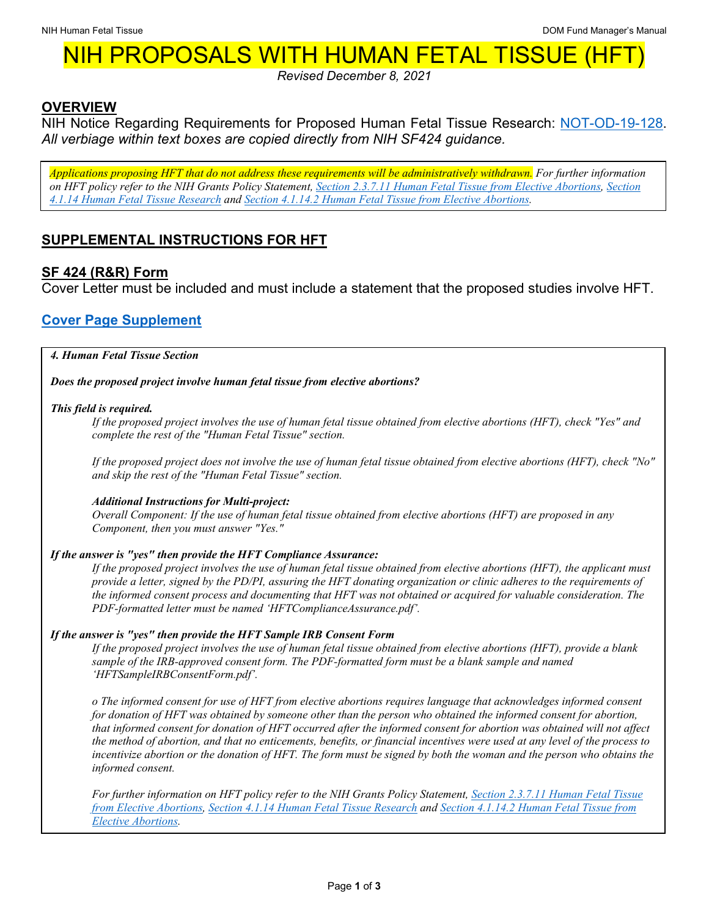# NIH PROPOSALS WITH HUMAN FETAL TISSUE (H

*Revised December 8, 2021*

## **OVERVIEW**

NIH Notice Regarding Requirements for Proposed Human Fetal Tissue Research: [NOT-OD-19-128.](https://grants.nih.gov/grants/guide/notice-files/NOT-OD-19-128.html) *All verbiage within text boxes are copied directly from NIH SF424 guidance.*

*Applications proposing HFT that do not address these requirements will be administratively withdrawn. For further information on HFT policy refer to the NIH Grants Policy Statement, [Section 2.3.7.11 Human Fetal Tissue from Elective Abortions,](https://grants.nih.gov/grants/policy/nihgps/HTML5/section_2/2.3.7_policies_affecting_applications.htm#Human2) [Section](https://grants.nih.gov/grants/policy/nihgps/HTML5/section_4/4.1.14_human_fetal_tissue_research.htm)  [4.1.14 Human Fetal Tissue Research](https://grants.nih.gov/grants/policy/nihgps/HTML5/section_4/4.1.14_human_fetal_tissue_research.htm) and [Section 4.1.14.2 Human Fetal Tissue from Elective Abortions.](https://grants.nih.gov/grants/policy/nihgps/HTML5/section_4/4.1.14_human_fetal_tissue_research.htm#Human3)*

# **SUPPLEMENTAL INSTRUCTIONS FOR HFT**

## **SF 424 (R&R) Form**

Cover Letter must be included and must include a statement that the proposed studies involve HFT.

# **[Cover Page Supplement](https://grants.nih.gov/grants/how-to-apply-application-guide/forms-g/general/g.210-phs-398-cover-page-supplement-form.htm#4)**

*4. Human Fetal Tissue Section*

*Does the proposed project involve human fetal tissue from elective abortions?*

## *This field is required.*

*If the proposed project involves the use of human fetal tissue obtained from elective abortions (HFT), check "Yes" and complete the rest of the "Human Fetal Tissue" section.*

*If the proposed project does not involve the use of human fetal tissue obtained from elective abortions (HFT), check "No" and skip the rest of the "Human Fetal Tissue" section.*

## *Additional Instructions for Multi-project:*

*Overall Component: If the use of human fetal tissue obtained from elective abortions (HFT) are proposed in any Component, then you must answer "Yes."*

### *If the answer is "yes" then provide the HFT Compliance Assurance:*

*If the proposed project involves the use of human fetal tissue obtained from elective abortions (HFT), the applicant must provide a letter, signed by the PD/PI, assuring the HFT donating organization or clinic adheres to the requirements of the informed consent process and documenting that HFT was not obtained or acquired for valuable consideration. The PDF-formatted letter must be named 'HFTComplianceAssurance.pdf'.*

### *If the answer is "yes" then provide the HFT Sample IRB Consent Form*

*If the proposed project involves the use of human fetal tissue obtained from elective abortions (HFT), provide a blank sample of the IRB-approved consent form. The PDF-formatted form must be a blank sample and named 'HFTSampleIRBConsentForm.pdf'.*

*o The informed consent for use of HFT from elective abortions requires language that acknowledges informed consent for donation of HFT was obtained by someone other than the person who obtained the informed consent for abortion, that informed consent for donation of HFT occurred after the informed consent for abortion was obtained will not affect the method of abortion, and that no enticements, benefits, or financial incentives were used at any level of the process to incentivize abortion or the donation of HFT. The form must be signed by both the woman and the person who obtains the informed consent.*

*For further information on HFT policy refer to the NIH Grants Policy Statement, [Section 2.3.7.11 Human Fetal Tissue](https://grants.nih.gov/grants/policy/nihgps/HTML5/section_2/2.3.7_policies_affecting_applications.htm#Human2)  [from Elective Abortions,](https://grants.nih.gov/grants/policy/nihgps/HTML5/section_2/2.3.7_policies_affecting_applications.htm#Human2) [Section 4.1.14 Human Fetal Tissue Research](https://grants.nih.gov/grants/policy/nihgps/HTML5/section_4/4.1.14_human_fetal_tissue_research.htm) and [Section 4.1.14.2 Human Fetal Tissue from](https://grants.nih.gov/grants/policy/nihgps/HTML5/section_4/4.1.14_human_fetal_tissue_research.htm#Human3)  [Elective Abortions.](https://grants.nih.gov/grants/policy/nihgps/HTML5/section_4/4.1.14_human_fetal_tissue_research.htm#Human3)*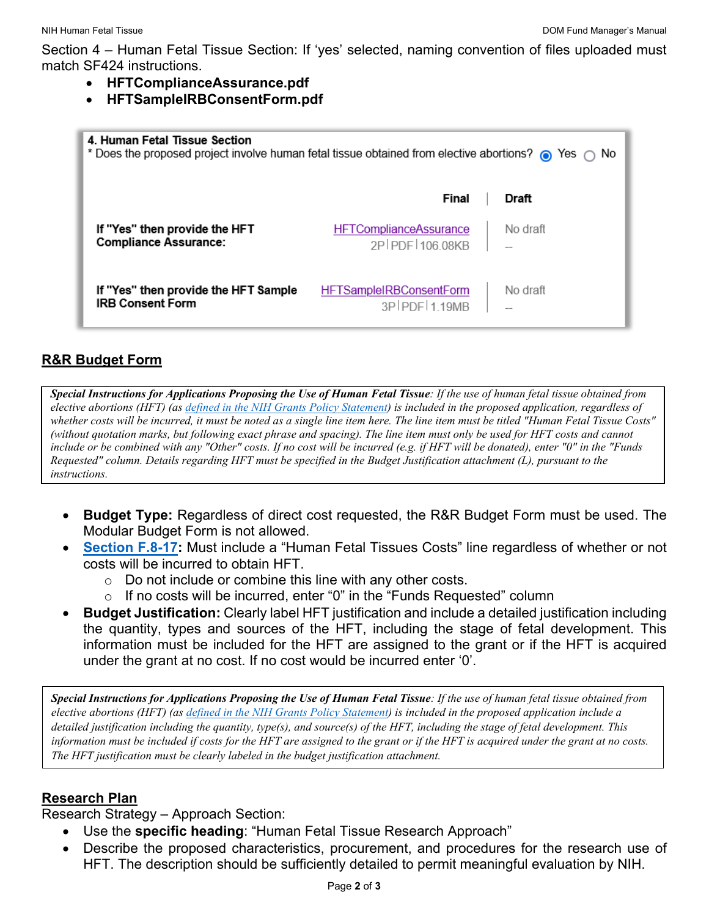Section 4 – Human Fetal Tissue Section: If 'yes' selected, naming convention of files uploaded must match SF424 instructions.

- **HFTComplianceAssurance.pdf**
- **HFTSampleIRBConsentForm.pdf**

| 4. Human Fetal Tissue Section<br>* Does the proposed project involve human fetal tissue obtained from elective abortions? @ Yes @ No |                                                  |          |
|--------------------------------------------------------------------------------------------------------------------------------------|--------------------------------------------------|----------|
|                                                                                                                                      | Final                                            | Draft    |
| If "Yes" then provide the HFT<br><b>Compliance Assurance:</b>                                                                        | <b>HFTComplianceAssurance</b><br>2P PDF 106 08KB | No draft |
| If "Yes" then provide the HFT Sample<br><b>IRB Consent Form</b>                                                                      | <b>HFTSampleIRBConsentForm</b><br>3P PDF 1 19MB  | No draft |

# **R&R Budget Form**

*Special Instructions for Applications Proposing the Use of Human Fetal Tissue: If the use of human fetal tissue obtained from elective abortions (HFT) (as [defined in the NIH Grants Policy Statement\)](https://grants.nih.gov/grants/policy/nihgps/HTML5/section_4/4.1.14_human_fetal_tissue_research.htm#Human3) is included in the proposed application, regardless of whether costs will be incurred, it must be noted as a single line item here. The line item must be titled "Human Fetal Tissue Costs" (without quotation marks, but following exact phrase and spacing). The line item must only be used for HFT costs and cannot include or be combined with any "Other" costs. If no cost will be incurred (e.g. if HFT will be donated), enter "0" in the "Funds Requested" column. Details regarding HFT must be specified in the Budget Justification attachment (L), pursuant to the instructions.*

- **Budget Type:** Regardless of direct cost requested, the R&R Budget Form must be used. The Modular Budget Form is not allowed.
- **[Section F.8-17:](https://grants.nih.gov/grants/how-to-apply-application-guide/forms-g/general/g.300-r&r-budget-form.htm#F)** Must include a "Human Fetal Tissues Costs" line regardless of whether or not costs will be incurred to obtain HFT.
	- $\circ$  Do not include or combine this line with any other costs.
	- $\circ$  If no costs will be incurred, enter "0" in the "Funds Requested" column
- **Budget Justification:** Clearly label HFT justification and include a detailed justification including the quantity, types and sources of the HFT, including the stage of fetal development. This information must be included for the HFT are assigned to the grant or if the HFT is acquired under the grant at no cost. If no cost would be incurred enter '0'.

*Special Instructions for Applications Proposing the Use of Human Fetal Tissue: If the use of human fetal tissue obtained from elective abortions (HFT) (as [defined in the NIH Grants Policy Statement\)](https://grants.nih.gov/grants/policy/nihgps/HTML5/section_4/4.1.14_human_fetal_tissue_research.htm#Human3) is included in the proposed application include a detailed justification including the quantity, type(s), and source(s) of the HFT, including the stage of fetal development. This information must be included if costs for the HFT are assigned to the grant or if the HFT is acquired under the grant at no costs. The HFT justification must be clearly labeled in the budget justification attachment.*

## **Research Plan**

Research Strategy – Approach Section:

- Use the **specific heading**: "Human Fetal Tissue Research Approach"
- Describe the proposed characteristics, procurement, and procedures for the research use of HFT. The description should be sufficiently detailed to permit meaningful evaluation by NIH.